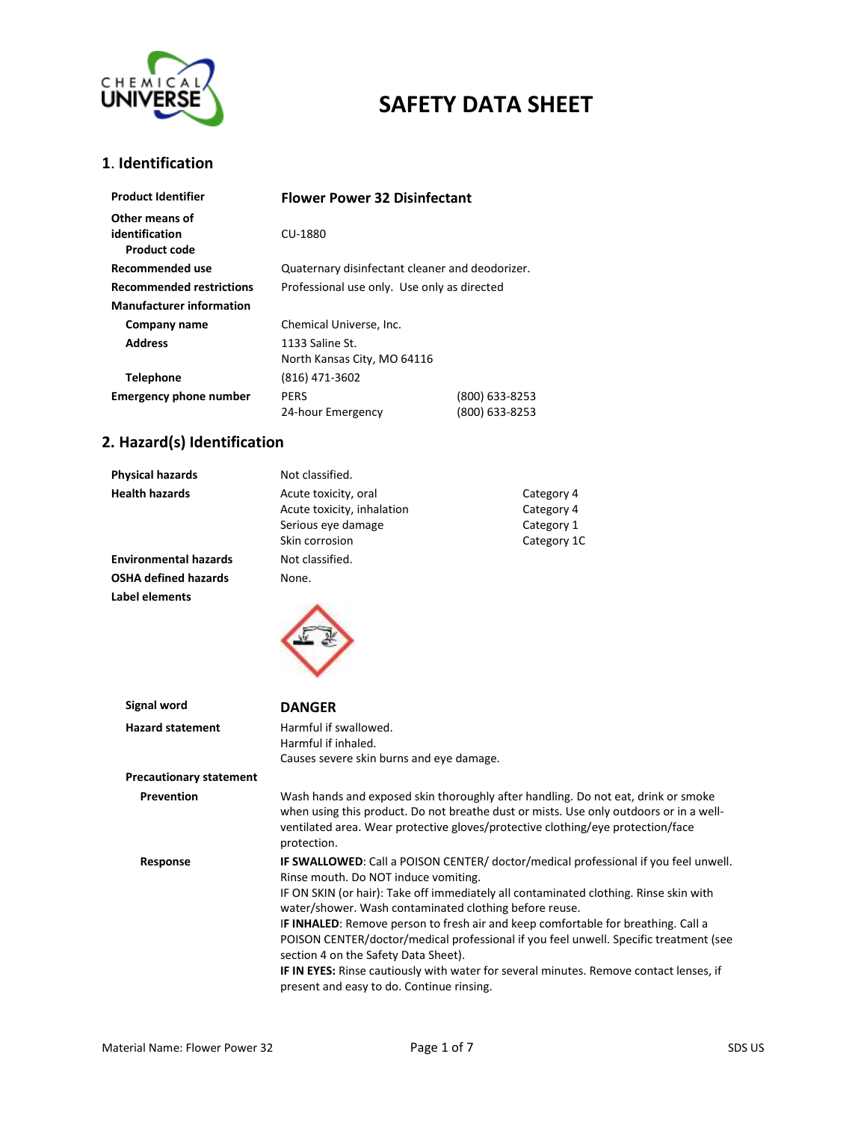

#### **1**. **Identification**

| <b>Product Identifier</b>       | <b>Flower Power 32 Disinfectant</b>             |                |
|---------------------------------|-------------------------------------------------|----------------|
| Other means of                  |                                                 |                |
| identification<br>Product code  | CU-1880                                         |                |
| Recommended use                 | Quaternary disinfectant cleaner and deodorizer. |                |
| <b>Recommended restrictions</b> | Professional use only. Use only as directed     |                |
| <b>Manufacturer information</b> |                                                 |                |
| Company name                    | Chemical Universe, Inc.                         |                |
| <b>Address</b>                  | 1133 Saline St.                                 |                |
|                                 | North Kansas City, MO 64116                     |                |
| <b>Telephone</b>                | (816) 471-3602                                  |                |
| <b>Emergency phone number</b>   | <b>PERS</b>                                     | (800) 633-8253 |
|                                 | 24-hour Emergency                               | (800) 633-8253 |

### **2. Hazard(s) Identification**

| Physical hazards               | Not classified.                                        |                                                                                                                                                                                                                                                                |  |
|--------------------------------|--------------------------------------------------------|----------------------------------------------------------------------------------------------------------------------------------------------------------------------------------------------------------------------------------------------------------------|--|
| <b>Health hazards</b>          | Acute toxicity, oral                                   | Category 4                                                                                                                                                                                                                                                     |  |
|                                | Acute toxicity, inhalation                             | Category 4                                                                                                                                                                                                                                                     |  |
|                                | Serious eye damage                                     | Category 1                                                                                                                                                                                                                                                     |  |
|                                | Skin corrosion                                         | Category 1C                                                                                                                                                                                                                                                    |  |
| <b>Environmental hazards</b>   | Not classified.                                        |                                                                                                                                                                                                                                                                |  |
| <b>OSHA defined hazards</b>    | None.                                                  |                                                                                                                                                                                                                                                                |  |
| <b>Label elements</b>          |                                                        |                                                                                                                                                                                                                                                                |  |
| Signal word                    | <b>DANGER</b>                                          |                                                                                                                                                                                                                                                                |  |
| <b>Hazard statement</b>        | Harmful if swallowed.                                  |                                                                                                                                                                                                                                                                |  |
|                                | Harmful if inhaled.                                    |                                                                                                                                                                                                                                                                |  |
|                                | Causes severe skin burns and eye damage.               |                                                                                                                                                                                                                                                                |  |
| <b>Precautionary statement</b> |                                                        |                                                                                                                                                                                                                                                                |  |
| <b>Prevention</b>              | protection.                                            | Wash hands and exposed skin thoroughly after handling. Do not eat, drink or smoke<br>when using this product. Do not breathe dust or mists. Use only outdoors or in a well-<br>ventilated area. Wear protective gloves/protective clothing/eye protection/face |  |
| Response                       | Rinse mouth. Do NOT induce vomiting.                   | IF SWALLOWED: Call a POISON CENTER/ doctor/medical professional if you feel unwell.                                                                                                                                                                            |  |
|                                |                                                        | IF ON SKIN (or hair): Take off immediately all contaminated clothing. Rinse skin with                                                                                                                                                                          |  |
|                                | water/shower. Wash contaminated clothing before reuse. | IF INHALED: Remove person to fresh air and keep comfortable for breathing. Call a                                                                                                                                                                              |  |
|                                | section 4 on the Safety Data Sheet).                   | POISON CENTER/doctor/medical professional if you feel unwell. Specific treatment (see                                                                                                                                                                          |  |
|                                | present and easy to do. Continue rinsing.              | IF IN EYES: Rinse cautiously with water for several minutes. Remove contact lenses, if                                                                                                                                                                         |  |
|                                |                                                        |                                                                                                                                                                                                                                                                |  |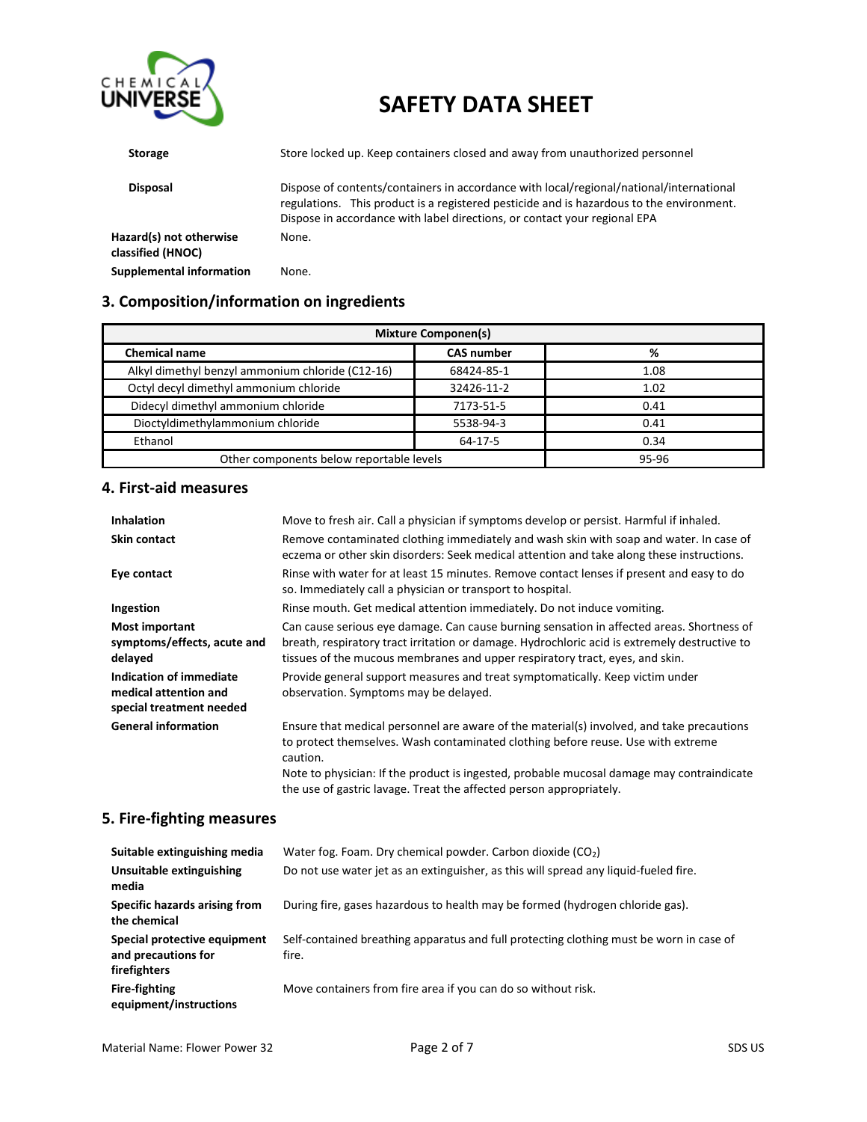

| <b>Storage</b>                               | Store locked up. Keep containers closed and away from unauthorized personnel                                                                                                                                                                                     |
|----------------------------------------------|------------------------------------------------------------------------------------------------------------------------------------------------------------------------------------------------------------------------------------------------------------------|
| <b>Disposal</b>                              | Dispose of contents/containers in accordance with local/regional/national/international<br>regulations. This product is a registered pesticide and is hazardous to the environment.<br>Dispose in accordance with label directions, or contact your regional EPA |
| Hazard(s) not otherwise<br>classified (HNOC) | None.                                                                                                                                                                                                                                                            |
| <b>Supplemental information</b>              | None.                                                                                                                                                                                                                                                            |

## **3. Composition/information on ingredients**

| <b>Mixture Componen(s)</b>                       |                   |       |
|--------------------------------------------------|-------------------|-------|
| <b>Chemical name</b>                             | <b>CAS number</b> | %     |
| Alkyl dimethyl benzyl ammonium chloride (C12-16) | 68424-85-1        | 1.08  |
| Octyl decyl dimethyl ammonium chloride           | 32426-11-2        | 1.02  |
| Didecyl dimethyl ammonium chloride               | 7173-51-5         | 0.41  |
| Dioctyldimethylammonium chloride                 | 5538-94-3         | 0.41  |
| Ethanol                                          | 64-17-5           | 0.34  |
| Other components below reportable levels         |                   | 95-96 |

#### **4. First-aid measures**

| <b>Inhalation</b>                                                            | Move to fresh air. Call a physician if symptoms develop or persist. Harmful if inhaled.                                                                                                                                                                                    |
|------------------------------------------------------------------------------|----------------------------------------------------------------------------------------------------------------------------------------------------------------------------------------------------------------------------------------------------------------------------|
| <b>Skin contact</b>                                                          | Remove contaminated clothing immediately and wash skin with soap and water. In case of<br>eczema or other skin disorders: Seek medical attention and take along these instructions.                                                                                        |
| Eye contact                                                                  | Rinse with water for at least 15 minutes. Remove contact lenses if present and easy to do<br>so. Immediately call a physician or transport to hospital.                                                                                                                    |
| Ingestion                                                                    | Rinse mouth. Get medical attention immediately. Do not induce vomiting.                                                                                                                                                                                                    |
| <b>Most important</b><br>symptoms/effects, acute and<br>delayed              | Can cause serious eye damage. Can cause burning sensation in affected areas. Shortness of<br>breath, respiratory tract irritation or damage. Hydrochloric acid is extremely destructive to<br>tissues of the mucous membranes and upper respiratory tract, eyes, and skin. |
| Indication of immediate<br>medical attention and<br>special treatment needed | Provide general support measures and treat symptomatically. Keep victim under<br>observation. Symptoms may be delayed.                                                                                                                                                     |
| <b>General information</b>                                                   | Ensure that medical personnel are aware of the material(s) involved, and take precautions<br>to protect themselves. Wash contaminated clothing before reuse. Use with extreme<br>caution.                                                                                  |
|                                                                              | Note to physician: If the product is ingested, probable mucosal damage may contraindicate<br>the use of gastric lavage. Treat the affected person appropriately.                                                                                                           |

#### **5. Fire-fighting measures**

| Suitable extinguishing media                                        | Water fog. Foam. Dry chemical powder. Carbon dioxide $(CO2)$                                     |
|---------------------------------------------------------------------|--------------------------------------------------------------------------------------------------|
| Unsuitable extinguishing<br>media                                   | Do not use water jet as an extinguisher, as this will spread any liquid-fueled fire.             |
| Specific hazards arising from<br>the chemical                       | During fire, gases hazardous to health may be formed (hydrogen chloride gas).                    |
| Special protective equipment<br>and precautions for<br>firefighters | Self-contained breathing apparatus and full protecting clothing must be worn in case of<br>fire. |
| <b>Fire-fighting</b><br>equipment/instructions                      | Move containers from fire area if you can do so without risk.                                    |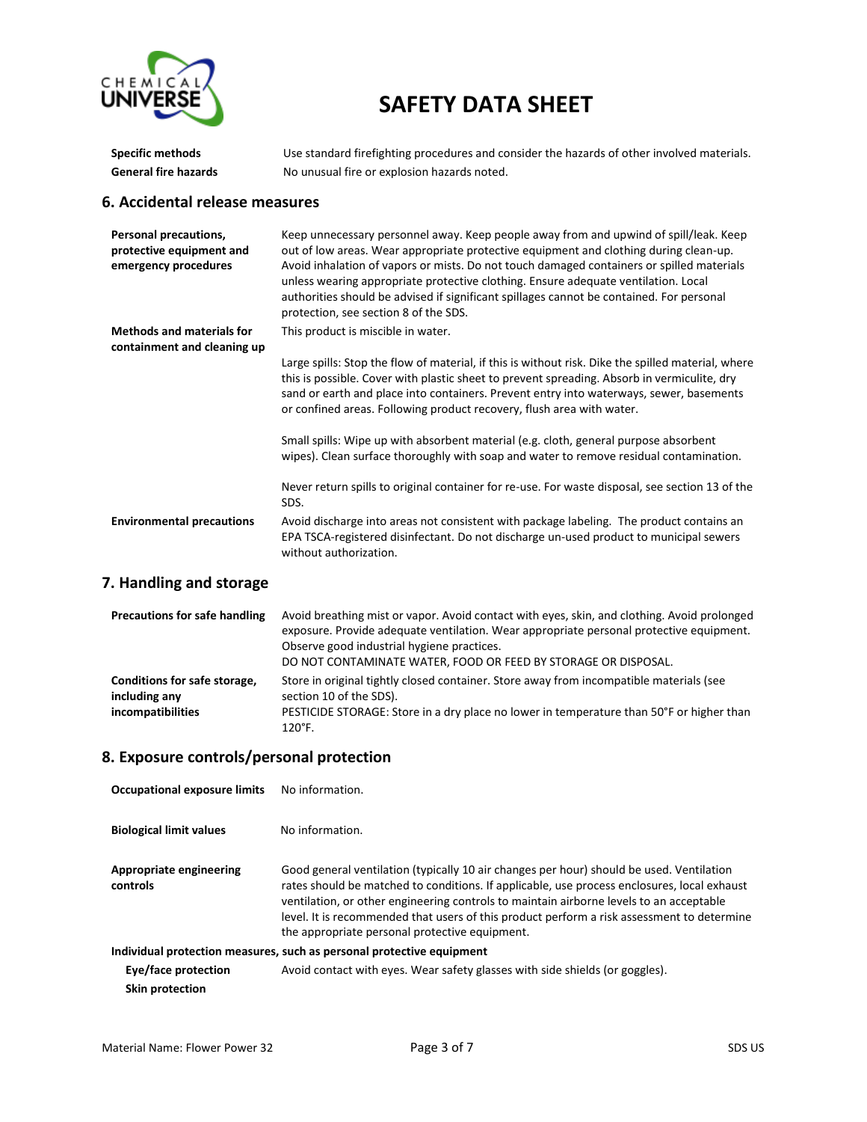

| <b>Specific methods</b>                                                   | Use standard firefighting procedures and consider the hazards of other involved materials.                                                                                                                                                                                                                                                                                                                                                                                                             |  |
|---------------------------------------------------------------------------|--------------------------------------------------------------------------------------------------------------------------------------------------------------------------------------------------------------------------------------------------------------------------------------------------------------------------------------------------------------------------------------------------------------------------------------------------------------------------------------------------------|--|
| <b>General fire hazards</b>                                               | No unusual fire or explosion hazards noted.                                                                                                                                                                                                                                                                                                                                                                                                                                                            |  |
| 6. Accidental release measures                                            |                                                                                                                                                                                                                                                                                                                                                                                                                                                                                                        |  |
| Personal precautions,<br>protective equipment and<br>emergency procedures | Keep unnecessary personnel away. Keep people away from and upwind of spill/leak. Keep<br>out of low areas. Wear appropriate protective equipment and clothing during clean-up.<br>Avoid inhalation of vapors or mists. Do not touch damaged containers or spilled materials<br>unless wearing appropriate protective clothing. Ensure adequate ventilation. Local<br>authorities should be advised if significant spillages cannot be contained. For personal<br>protection, see section 8 of the SDS. |  |
| <b>Methods and materials for</b>                                          | This product is miscible in water.                                                                                                                                                                                                                                                                                                                                                                                                                                                                     |  |
| containment and cleaning up                                               | Large spills: Stop the flow of material, if this is without risk. Dike the spilled material, where<br>this is possible. Cover with plastic sheet to prevent spreading. Absorb in vermiculite, dry<br>sand or earth and place into containers. Prevent entry into waterways, sewer, basements<br>or confined areas. Following product recovery, flush area with water.                                                                                                                                  |  |
|                                                                           | Small spills: Wipe up with absorbent material (e.g. cloth, general purpose absorbent<br>wipes). Clean surface thoroughly with soap and water to remove residual contamination.                                                                                                                                                                                                                                                                                                                         |  |
|                                                                           | Never return spills to original container for re-use. For waste disposal, see section 13 of the<br>SDS.                                                                                                                                                                                                                                                                                                                                                                                                |  |
| <b>Environmental precautions</b>                                          | Avoid discharge into areas not consistent with package labeling. The product contains an<br>EPA TSCA-registered disinfectant. Do not discharge un-used product to municipal sewers<br>without authorization.                                                                                                                                                                                                                                                                                           |  |

## **7. Handling and storage**

| <b>Precautions for safe handling</b>                               | Avoid breathing mist or vapor. Avoid contact with eyes, skin, and clothing. Avoid prolonged<br>exposure. Provide adequate ventilation. Wear appropriate personal protective equipment.<br>Observe good industrial hygiene practices.<br>DO NOT CONTAMINATE WATER, FOOD OR FEED BY STORAGE OR DISPOSAL. |
|--------------------------------------------------------------------|--------------------------------------------------------------------------------------------------------------------------------------------------------------------------------------------------------------------------------------------------------------------------------------------------------|
| Conditions for safe storage,<br>including any<br>incompatibilities | Store in original tightly closed container. Store away from incompatible materials (see<br>section 10 of the SDS).<br>PESTICIDE STORAGE: Store in a dry place no lower in temperature than 50°F or higher than<br>$120^\circ F$ .                                                                      |

### **8. Exposure controls/personal protection**

| <b>Occupational exposure limits</b>                                   | No information.                                                                                                                                                                                                                                                                                                                                                                                                                    |  |
|-----------------------------------------------------------------------|------------------------------------------------------------------------------------------------------------------------------------------------------------------------------------------------------------------------------------------------------------------------------------------------------------------------------------------------------------------------------------------------------------------------------------|--|
| <b>Biological limit values</b>                                        | No information.                                                                                                                                                                                                                                                                                                                                                                                                                    |  |
| Appropriate engineering<br>controls                                   | Good general ventilation (typically 10 air changes per hour) should be used. Ventilation<br>rates should be matched to conditions. If applicable, use process enclosures, local exhaust<br>ventilation, or other engineering controls to maintain airborne levels to an acceptable<br>level. It is recommended that users of this product perform a risk assessment to determine<br>the appropriate personal protective equipment. |  |
| Individual protection measures, such as personal protective equipment |                                                                                                                                                                                                                                                                                                                                                                                                                                    |  |
| Eye/face protection                                                   | Avoid contact with eyes. Wear safety glasses with side shields (or goggles).                                                                                                                                                                                                                                                                                                                                                       |  |
| Skin protection                                                       |                                                                                                                                                                                                                                                                                                                                                                                                                                    |  |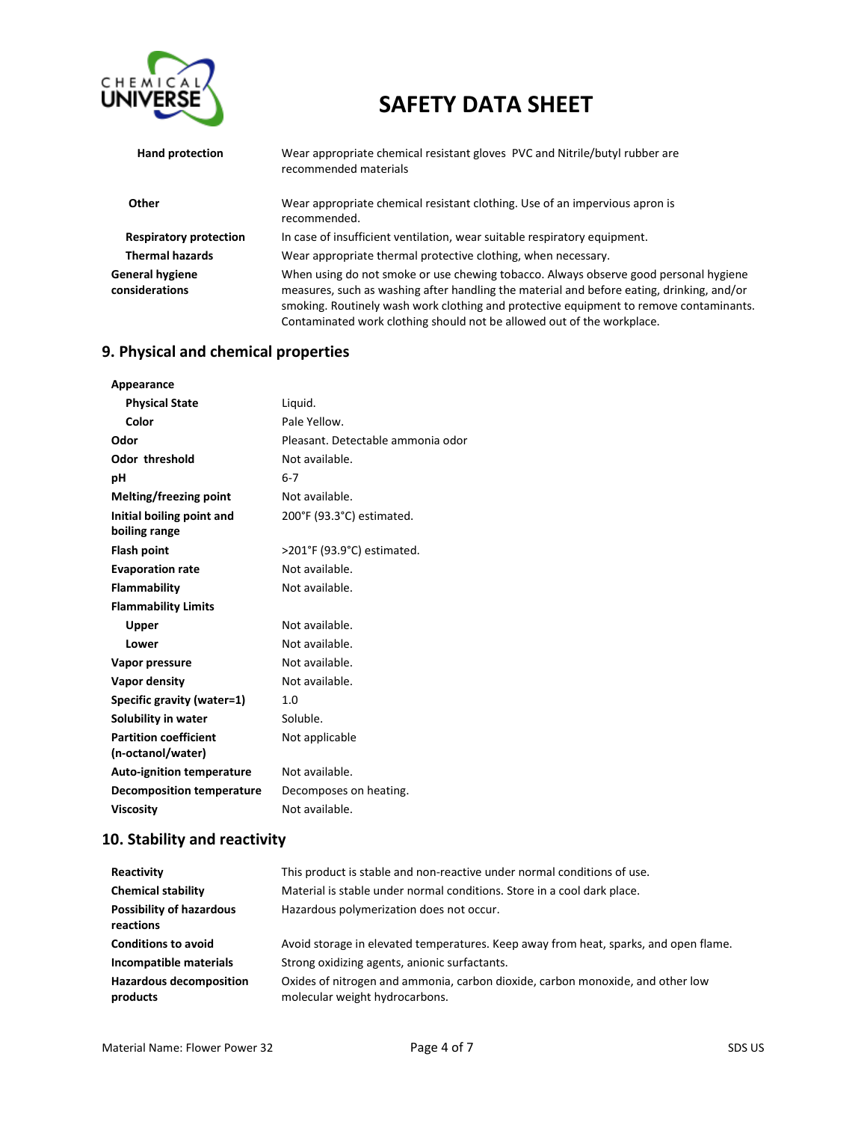

| Hand protection                   | Wear appropriate chemical resistant gloves PVC and Nitrile/butyl rubber are<br>recommended materials                                                                                                                                                                                                                                                  |
|-----------------------------------|-------------------------------------------------------------------------------------------------------------------------------------------------------------------------------------------------------------------------------------------------------------------------------------------------------------------------------------------------------|
| Other                             | Wear appropriate chemical resistant clothing. Use of an impervious apron is<br>recommended.                                                                                                                                                                                                                                                           |
| <b>Respiratory protection</b>     | In case of insufficient ventilation, wear suitable respiratory equipment.                                                                                                                                                                                                                                                                             |
| <b>Thermal hazards</b>            | Wear appropriate thermal protective clothing, when necessary.                                                                                                                                                                                                                                                                                         |
| General hygiene<br>considerations | When using do not smoke or use chewing tobacco. Always observe good personal hygiene<br>measures, such as washing after handling the material and before eating, drinking, and/or<br>smoking. Routinely wash work clothing and protective equipment to remove contaminants.<br>Contaminated work clothing should not be allowed out of the workplace. |

## **9. Physical and chemical properties**

| Appearance                       |                                   |
|----------------------------------|-----------------------------------|
| <b>Physical State</b>            | Liguid.                           |
| Color                            | Pale Yellow.                      |
| Odor                             | Pleasant. Detectable ammonia odor |
| <b>Odor threshold</b>            | Not available.                    |
| рH                               | $6 - 7$                           |
| Melting/freezing point           | Not available.                    |
| Initial boiling point and        | 200°F (93.3°C) estimated.         |
| boiling range                    |                                   |
| <b>Flash point</b>               | >201°F (93.9°C) estimated.        |
| <b>Evaporation rate</b>          | Not available.                    |
| <b>Flammability</b>              | Not available.                    |
| <b>Flammability Limits</b>       |                                   |
| Upper                            | Not available.                    |
| Lower                            | Not available.                    |
| Vapor pressure                   | Not available.                    |
| Vapor density                    | Not available.                    |
| Specific gravity (water=1)       | 1.0                               |
| Solubility in water              | Soluble.                          |
| <b>Partition coefficient</b>     | Not applicable                    |
| (n-octanol/water)                |                                   |
| <b>Auto-ignition temperature</b> | Not available.                    |
| <b>Decomposition temperature</b> | Decomposes on heating.            |
| <b>Viscosity</b>                 | Not available.                    |

## **10. Stability and reactivity**

| Reactivity                                   | This product is stable and non-reactive under normal conditions of use.                                          |
|----------------------------------------------|------------------------------------------------------------------------------------------------------------------|
| <b>Chemical stability</b>                    | Material is stable under normal conditions. Store in a cool dark place.                                          |
| <b>Possibility of hazardous</b><br>reactions | Hazardous polymerization does not occur.                                                                         |
| <b>Conditions to avoid</b>                   | Avoid storage in elevated temperatures. Keep away from heat, sparks, and open flame.                             |
| Incompatible materials                       | Strong oxidizing agents, anionic surfactants.                                                                    |
| <b>Hazardous decomposition</b><br>products   | Oxides of nitrogen and ammonia, carbon dioxide, carbon monoxide, and other low<br>molecular weight hydrocarbons. |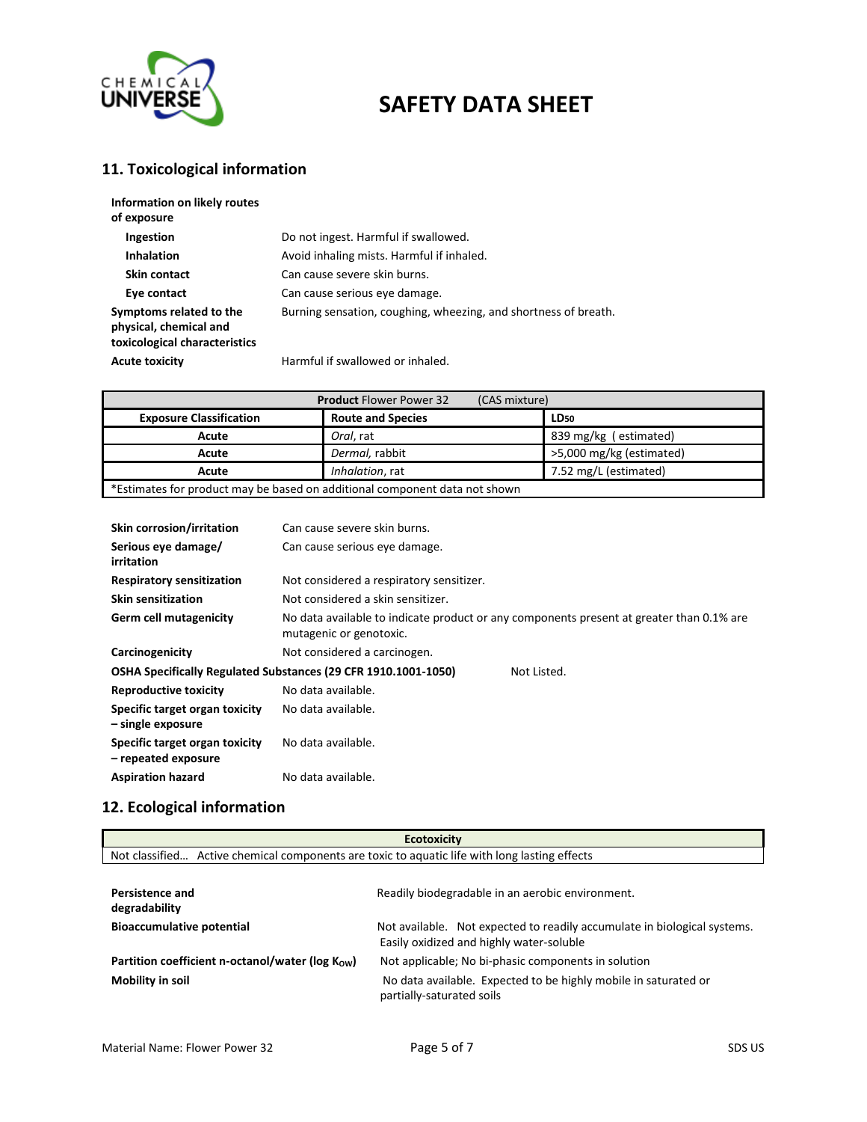

### **11. Toxicological information**

| Information on likely routes<br>of exposure                                        |                                                                 |
|------------------------------------------------------------------------------------|-----------------------------------------------------------------|
| Ingestion                                                                          | Do not ingest. Harmful if swallowed.                            |
| <b>Inhalation</b>                                                                  | Avoid inhaling mists. Harmful if inhaled.                       |
| Skin contact                                                                       | Can cause severe skin burns.                                    |
| Eye contact                                                                        | Can cause serious eye damage.                                   |
| Symptoms related to the<br>physical, chemical and<br>toxicological characteristics | Burning sensation, coughing, wheezing, and shortness of breath. |
| <b>Acute toxicity</b>                                                              | Harmful if swallowed or inhaled.                                |

| <b>Product Flower Power 32</b><br>(CAS mixture)                            |                          |                          |
|----------------------------------------------------------------------------|--------------------------|--------------------------|
| <b>Exposure Classification</b>                                             | <b>Route and Species</b> | LD <sub>50</sub>         |
| Acute                                                                      | Oral, rat                | 839 mg/kg (estimated)    |
| Acute                                                                      | Dermal, rabbit           | >5,000 mg/kg (estimated) |
| Acute                                                                      | Inhalation, rat          | 7.52 mg/L (estimated)    |
| *Estimates for product may be based on additional component data not shown |                          |                          |

| <b>Skin corrosion/irritation</b>                      | Can cause severe skin burns.                                   |                                                                                          |
|-------------------------------------------------------|----------------------------------------------------------------|------------------------------------------------------------------------------------------|
| Serious eye damage/<br>irritation                     | Can cause serious eye damage.                                  |                                                                                          |
| <b>Respiratory sensitization</b>                      | Not considered a respiratory sensitizer.                       |                                                                                          |
| <b>Skin sensitization</b>                             | Not considered a skin sensitizer.                              |                                                                                          |
| Germ cell mutagenicity                                | mutagenic or genotoxic.                                        | No data available to indicate product or any components present at greater than 0.1% are |
| Carcinogenicity                                       | Not considered a carcinogen.                                   |                                                                                          |
|                                                       | OSHA Specifically Regulated Substances (29 CFR 1910.1001-1050) | Not Listed.                                                                              |
| <b>Reproductive toxicity</b>                          | No data available.                                             |                                                                                          |
| Specific target organ toxicity<br>– single exposure   | No data available.                                             |                                                                                          |
| Specific target organ toxicity<br>- repeated exposure | No data available.                                             |                                                                                          |
| <b>Aspiration hazard</b>                              | No data available.                                             |                                                                                          |

## **12. Ecological information**

|                | <b>Ecotoxicity</b>                                                             |
|----------------|--------------------------------------------------------------------------------|
| Not classified | Active chemical components are toxic to aguatic life with long lasting effects |

| <b>Persistence and</b><br>degradability         | Readily biodegradable in an aerobic environment.                                                                     |
|-------------------------------------------------|----------------------------------------------------------------------------------------------------------------------|
| <b>Bioaccumulative potential</b>                | Not available. Not expected to readily accumulate in biological systems.<br>Easily oxidized and highly water-soluble |
| Partition coefficient n-octanol/water (log Kow) | Not applicable; No bi-phasic components in solution                                                                  |
| Mobility in soil                                | No data available. Expected to be highly mobile in saturated or<br>partially-saturated soils                         |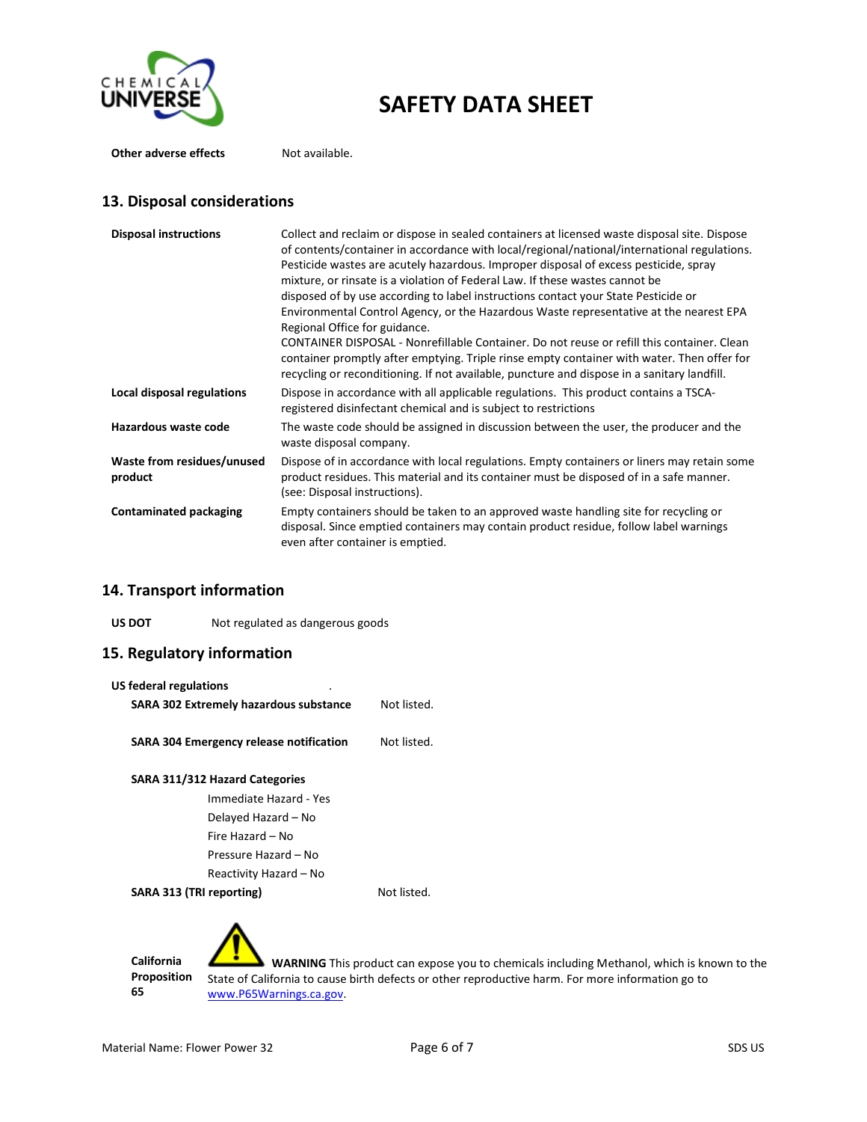

**Other adverse effects** Not available.

#### **13. Disposal considerations**

| <b>Disposal instructions</b>          | Collect and reclaim or dispose in sealed containers at licensed waste disposal site. Dispose<br>of contents/container in accordance with local/regional/national/international regulations.<br>Pesticide wastes are acutely hazardous. Improper disposal of excess pesticide, spray<br>mixture, or rinsate is a violation of Federal Law. If these wastes cannot be<br>disposed of by use according to label instructions contact your State Pesticide or<br>Environmental Control Agency, or the Hazardous Waste representative at the nearest EPA<br>Regional Office for guidance.<br>CONTAINER DISPOSAL - Nonrefillable Container. Do not reuse or refill this container. Clean<br>container promptly after emptying. Triple rinse empty container with water. Then offer for<br>recycling or reconditioning. If not available, puncture and dispose in a sanitary landfill. |
|---------------------------------------|---------------------------------------------------------------------------------------------------------------------------------------------------------------------------------------------------------------------------------------------------------------------------------------------------------------------------------------------------------------------------------------------------------------------------------------------------------------------------------------------------------------------------------------------------------------------------------------------------------------------------------------------------------------------------------------------------------------------------------------------------------------------------------------------------------------------------------------------------------------------------------|
| Local disposal regulations            | Dispose in accordance with all applicable regulations. This product contains a TSCA-<br>registered disinfectant chemical and is subject to restrictions                                                                                                                                                                                                                                                                                                                                                                                                                                                                                                                                                                                                                                                                                                                         |
| Hazardous waste code                  | The waste code should be assigned in discussion between the user, the producer and the<br>waste disposal company.                                                                                                                                                                                                                                                                                                                                                                                                                                                                                                                                                                                                                                                                                                                                                               |
| Waste from residues/unused<br>product | Dispose of in accordance with local regulations. Empty containers or liners may retain some<br>product residues. This material and its container must be disposed of in a safe manner.<br>(see: Disposal instructions).                                                                                                                                                                                                                                                                                                                                                                                                                                                                                                                                                                                                                                                         |
| <b>Contaminated packaging</b>         | Empty containers should be taken to an approved waste handling site for recycling or<br>disposal. Since emptied containers may contain product residue, follow label warnings<br>even after container is emptied.                                                                                                                                                                                                                                                                                                                                                                                                                                                                                                                                                                                                                                                               |

#### **14. Transport information**

US DOT **Not regulated as dangerous goods** 

#### **15. Regulatory information**

| US federal regulations                         |             |
|------------------------------------------------|-------------|
| SARA 302 Extremely hazardous substance         | Not listed. |
| <b>SARA 304 Emergency release notification</b> | Not listed. |
| <b>SARA 311/312 Hazard Categories</b>          |             |
| Immediate Hazard - Yes                         |             |
| Delayed Hazard - No                            |             |
| Fire Hazard - No                               |             |
| Pressure Hazard – No                           |             |
| Reactivity Hazard - No                         |             |
| SARA 313 (TRI reporting)                       | Not listed. |

**California Proposition 65**

 **WARNING** This product can expose you to chemicals including Methanol, which is known to the State of California to cause birth defects or other reproductive harm. For more information go to [www.P65Warnings.ca.gov.](http://www.p65warnings.ca.gov/)